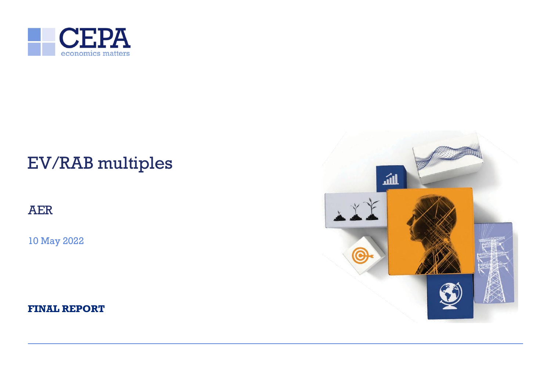

# EV/RAB multiples

AER

10 May 2022

**FINAL REPORT**

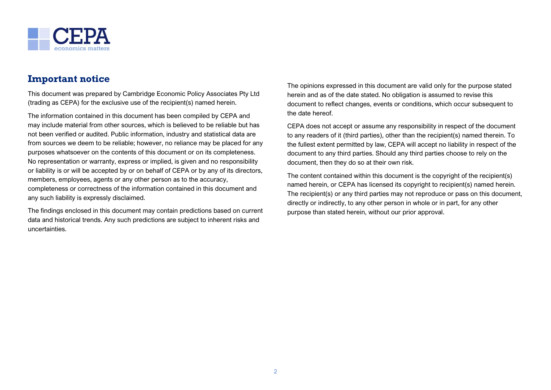

# **Important notice**

This document was prepared by Cambridge Economic Policy Associates Pty Ltd (trading as CEPA) for the exclusive use of the recipient(s) named herein.

The information contained in this document has been compiled by CEPA and may include material from other sources, which is believed to be reliable but has not been verified or audited. Public information, industry and statistical data are from sources we deem to be reliable; however, no reliance may be placed for any purposes whatsoever on the contents of this document or on its completeness. No representation or warranty, express or implied, is given and no responsibility or liability is or will be accepted by or on behalf of CEPA or by any of its directors, members, employees, agents or any other person as to the accuracy, completeness or correctness of the information contained in this document and any such liability is expressly disclaimed.

The findings enclosed in this document may contain predictions based on current data and historical trends. Any such predictions are subject to inherent risks and uncertainties.

The opinions expressed in this document are valid only for the purpose stated herein and as of the date stated. No obligation is assumed to revise this document to reflect changes, events or conditions, which occur subsequent to the date hereof.

CEPA does not accept or assume any responsibility in respect of the document to any readers of it (third parties), other than the recipient(s) named therein. To the fullest extent permitted by law, CEPA will accept no liability in respect of the document to any third parties. Should any third parties choose to rely on the document, then they do so at their own risk.

The content contained within this document is the copyright of the recipient(s) named herein, or CEPA has licensed its copyright to recipient(s) named herein. The recipient(s) or any third parties may not reproduce or pass on this document, directly or indirectly, to any other person in whole or in part, for any other purpose than stated herein, without our prior approval.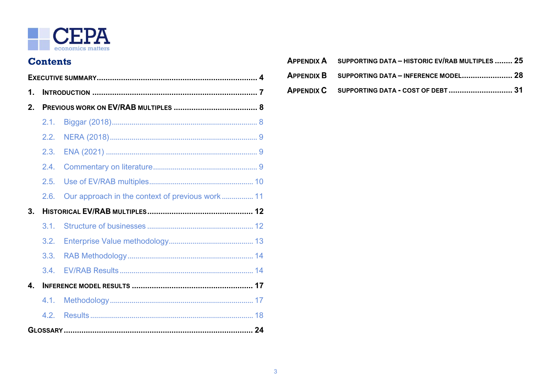

# **Contents**

| 1.             |      |  |  |  |
|----------------|------|--|--|--|
| 2 <sub>1</sub> |      |  |  |  |
|                | 2.1. |  |  |  |
|                | 2.2. |  |  |  |
|                | 2.3. |  |  |  |
|                | 2.4. |  |  |  |
|                | 2.5. |  |  |  |
|                | 2.6. |  |  |  |
| 3 <sub>1</sub> |      |  |  |  |
|                | 3.1. |  |  |  |
|                | 3.2. |  |  |  |
|                | 3.3. |  |  |  |
|                | 3.4. |  |  |  |
| 4.             |      |  |  |  |
|                | 4.1. |  |  |  |
|                | 4.2. |  |  |  |
|                |      |  |  |  |

| APPENDIX A SUPPORTING DATA - HISTORIC EV/RAB MULTIPLES  25 |
|------------------------------------------------------------|
| APPENDIX B SUPPORTING DATA - INFERENCE MODEL 28            |
| APPENDIX C SUPPORTING DATA - COST OF DEBT  31              |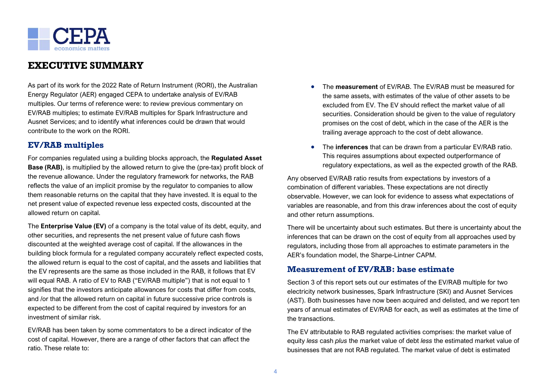

# <span id="page-3-0"></span>**EXECUTIVE SUMMARY**

As part of its work for the 2022 Rate of Return Instrument (RORI), the Australian Energy Regulator (AER) engaged CEPA to undertake analysis of EV/RAB multiples. Our terms of reference were: to review previous commentary on EV/RAB multiples; to estimate EV/RAB multiples for Spark Infrastructure and Ausnet Services; and to identify what inferences could be drawn that would contribute to the work on the RORI.

# **EV/RAB multiples**

For companies regulated using a building blocks approach, the **Regulated Asset Base (RAB)**, is multiplied by the allowed return to give the (pre-tax) profit block of the revenue allowance. Under the regulatory framework for networks, the RAB reflects the value of an implicit promise by the regulator to companies to allow them reasonable returns on the capital that they have invested. It is equal to the net present value of expected revenue less expected costs, discounted at the allowed return on capital.

The **Enterprise Value (EV)** of a company is the total value of its debt, equity, and other securities, and represents the net present value of future cash flows discounted at the weighted average cost of capital. If the allowances in the building block formula for a regulated company accurately reflect expected costs, the allowed return is equal to the cost of capital, and the assets and liabilities that the EV represents are the same as those included in the RAB, it follows that EV will equal RAB. A ratio of EV to RAB ("EV/RAB multiple") that is not equal to 1 signifies that the investors anticipate allowances for costs that differ from costs, and /or that the allowed return on capital in future successive price controls is expected to be different from the cost of capital required by investors for an investment of similar risk.

EV/RAB has been taken by some commentators to be a direct indicator of the cost of capital. However, there are a range of other factors that can affect the ratio. These relate to:

- The **measurement** of EV/RAB. The EV/RAB must be measured for the same assets, with estimates of the value of other assets to be excluded from EV. The EV should reflect the market value of all securities. Consideration should be given to the value of regulatory promises on the cost of debt, which in the case of the AER is the trailing average approach to the cost of debt allowance.
- The **inferences** that can be drawn from a particular EV/RAB ratio. This requires assumptions about expected outperformance of regulatory expectations, as well as the expected growth of the RAB.

Any observed EV/RAB ratio results from expectations by investors of a combination of different variables. These expectations are not directly observable. However, we can look for evidence to assess what expectations of variables are reasonable, and from this draw inferences about the cost of equity and other return assumptions.

There will be uncertainty about such estimates. But there is uncertainty about the inferences that can be drawn on the cost of equity from all approaches used by regulators, including those from all approaches to estimate parameters in the AER's foundation model, the Sharpe-Lintner CAPM.

### **Measurement of EV/RAB: base estimate**

Section 3 of this report sets out our estimates of the EV/RAB multiple for two electricity network businesses, Spark Infrastructure (SKI) and Ausnet Services (AST). Both businesses have now been acquired and delisted, and we report ten years of annual estimates of EV/RAB for each, as well as estimates at the time of the transactions.

The EV attributable to RAB regulated activities comprises: the market value of equity *less* cash *plus* the market value of debt *less* the estimated market value of businesses that are not RAB regulated. The market value of debt is estimated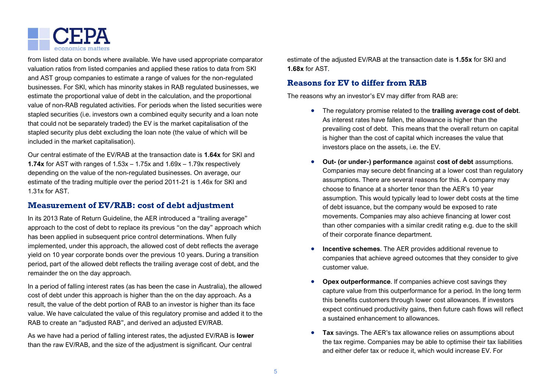

from listed data on bonds where available. We have used appropriate comparator valuation ratios from listed companies and applied these ratios to data from SKI and AST group companies to estimate a range of values for the non-regulated businesses. For SKI, which has minority stakes in RAB regulated businesses, we estimate the proportional value of debt in the calculation, and the proportional value of non-RAB regulated activities. For periods when the listed securities were stapled securities (i.e. investors own a combined equity security and a loan note that could not be separately traded) the EV is the market capitalisation of the stapled security plus debt excluding the loan note (the value of which will be included in the market capitalisation).

Our central estimate of the EV/RAB at the transaction date is **1.64x** for SKI and **1.74x** for AST with ranges of 1.53x – 1.75x and 1.69x – 1.79x respectively depending on the value of the non-regulated businesses. On average, our estimate of the trading multiple over the period 2011-21 is 1.46x for SKI and 1.31x for AST.

### **Measurement of EV/RAB: cost of debt adjustment**

In its 2013 Rate of Return Guideline, the AER introduced a "trailing average" approach to the cost of debt to replace its previous "on the day" approach which has been applied in subsequent price control determinations. When fully implemented, under this approach, the allowed cost of debt reflects the average yield on 10 year corporate bonds over the previous 10 years. During a transition period, part of the allowed debt reflects the trailing average cost of debt, and the remainder the on the day approach.

In a period of falling interest rates (as has been the case in Australia), the allowed cost of debt under this approach is higher than the on the day approach. As a result, the value of the debt portion of RAB to an investor is higher than its face value. We have calculated the value of this regulatory promise and added it to the RAB to create an "adjusted RAB", and derived an adjusted EV/RAB.

As we have had a period of falling interest rates, the adjusted EV/RAB is **lower** than the raw EV/RAB, and the size of the adjustment is significant. Our central

estimate of the adjusted EV/RAB at the transaction date is **1.55x** for SKI and **1.68x** for AST.

# **Reasons for EV to differ from RAB**

The reasons why an investor's EV may differ from RAB are:

- The regulatory promise related to the **trailing average cost of debt**. As interest rates have fallen, the allowance is higher than the prevailing cost of debt. This means that the overall return on capital is higher than the cost of capital which increases the value that investors place on the assets, i.e. the EV.
- **Out- (or under-) performance** against **cost of debt** assumptions. Companies may secure debt financing at a lower cost than regulatory assumptions. There are several reasons for this. A company may choose to finance at a shorter tenor than the AER's 10 year assumption. This would typically lead to lower debt costs at the time of debt issuance, but the company would be exposed to rate movements. Companies may also achieve financing at lower cost than other companies with a similar credit rating e.g. due to the skill of their corporate finance department.
- **Incentive schemes**. The AER provides additional revenue to companies that achieve agreed outcomes that they consider to give customer value.
- **Opex outperformance**. If companies achieve cost savings they capture value from this outperformance for a period. In the long term this benefits customers through lower cost allowances. If investors expect continued productivity gains, then future cash flows will reflect a sustained enhancement to allowances.
- **Tax** savings. The AER's tax allowance relies on assumptions about the tax regime. Companies may be able to optimise their tax liabilities and either defer tax or reduce it, which would increase EV. For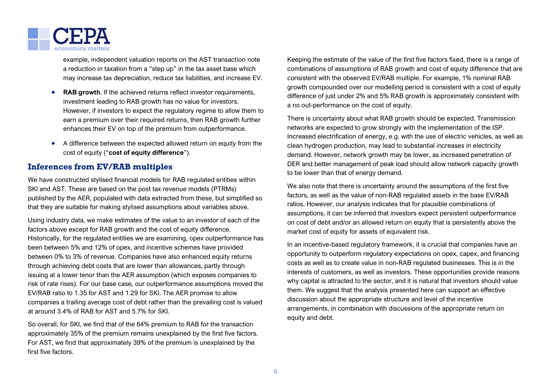

example, independent valuation reports on the AST transaction note a reduction in taxation from a "step up" in the tax asset base which may increase tax depreciation, reduce tax liabilities, and increase EV.

- **RAB growth**. If the achieved returns reflect investor requirements, investment leading to RAB growth has no value for investors. However, if investors to expect the regulatory regime to allow them to earn a premium over their required returns, then RAB growth further enhances their EV on top of the premium from outperformance.
- A difference between the expected allowed return on equity from the cost of equity ("**cost of equity difference**").

# **Inferences from EV/RAB multiples**

We have constructed stylised financial models for RAB regulated entities within SKI and AST. These are based on the post tax revenue models (PTRMs) published by the AER, populated with data extracted from these, but simplified so that they are suitable for making stylised assumptions about variables above.

Using industry data, we make estimates of the value to an investor of each of the factors above except for RAB growth and the cost of equity difference. Historically, for the regulated entities we are examining, opex outperformance has been between 5% and 12% of opex, and incentive schemes have provided between 0% to 3% of revenue. Companies have also enhanced equity returns through achieving debt costs that are lower than allowances, partly through issuing at a lower tenor than the AER assumption (which exposes companies to risk of rate rises). For our base case, our outperformance assumptions moved the EV/RAB ratio to 1.35 for AST and 1.29 for SKI. The AER promise to allow companies a trailing average cost of debt rather than the prevailing cost is valued at around 3.4% of RAB for AST and 5.7% for SKI.

So overall, for SKI, we find that of the 64% premium to RAB for the transaction approximately 35% of the premium remains unexplained by the first five factors. For AST, we find that approximately 39% of the premium is unexplained by the first five factors.

Keeping the estimate of the value of the first five factors fixed, there is a range of combinations of assumptions of RAB growth and cost of equity difference that are consistent with the observed EV/RAB multiple. For example, 1% nominal RAB growth compounded over our modelling period is consistent with a cost of equity difference of just under 2% and 5% RAB growth is approximately consistent with a no out-performance on the cost of equity.

There is uncertainty about what RAB growth should be expected. Transmission networks are expected to grow strongly with the implementation of the ISP. Increased electrification of energy, e.g. with the use of electric vehicles, as well as clean hydrogen production, may lead to substantial increases in electricity demand. However, network growth may be lower, as increased penetration of DER and better management of peak load should allow network capacity growth to be lower than that of energy demand.

We also note that there is uncertainty around the assumptions of the first five factors, as well as the value of non-RAB regulated assets in the base EV/RAB ratios. However, our analysis indicates that for plausible combinations of assumptions, it can be inferred that investors expect persistent outperformance on cost of debt and/or an allowed return on equity that is persistently above the market cost of equity for assets of equivalent risk.

In an incentive-based regulatory framework, it is crucial that companies have an opportunity to outperform regulatory expectations on opex, capex, and financing costs as well as to create value in non-RAB regulated businesses. This is in the interests of customers, as well as investors. These opportunities provide reasons why capital is attracted to the sector, and it is natural that investors should value them. We suggest that the analysis presented here can support an effective discussion about the appropriate structure and level of the incentive arrangements, in combination with discussions of the appropriate return on equity and debt.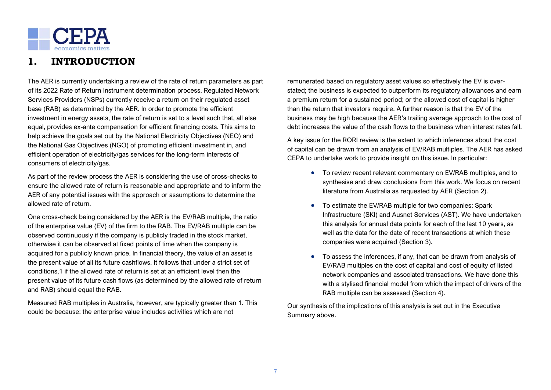

# <span id="page-6-0"></span>**1. INTRODUCTION**

The AER is currently undertaking a review of the rate of return parameters as part of its 2022 Rate of Return Instrument determination process. Regulated Network Services Providers (NSPs) currently receive a return on their regulated asset base (RAB) as determined by the AER. In order to promote the efficient investment in energy assets, the rate of return is set to a level such that, all else equal, provides ex-ante compensation for efficient financing costs. This aims to help achieve the goals set out by the National Electricity Objectives (NEO) and the National Gas Objectives (NGO) of promoting efficient investment in, and efficient operation of electricity/gas services for the long-term interests of consumers of electricity/gas.

As part of the review process the AER is considering the use of cross-checks to ensure the allowed rate of return is reasonable and appropriate and to inform the AER of any potential issues with the approach or assumptions to determine the allowed rate of return.

One cross-check being considered by the AER is the EV/RAB multiple, the ratio of the enterprise value (EV) of the firm to the RAB. The EV/RAB multiple can be observed continuously if the company is publicly traded in the stock market, otherwise it can be observed at fixed points of time when the company is acquired for a publicly known price. In financial theory, the value of an asset is the present value of all its future cashflows. It follows that under a strict set of conditions,1 if the allowed rate of return is set at an efficient level then the present value of its future cash flows (as determined by the allowed rate of return and RAB) should equal the RAB.

Measured RAB multiples in Australia, however, are typically greater than 1. This could be because: the enterprise value includes activities which are not

remunerated based on regulatory asset values so effectively the EV is overstated; the business is expected to outperform its regulatory allowances and earn a premium return for a sustained period; or the allowed cost of capital is higher than the return that investors require. A further reason is that the EV of the business may be high because the AER's trailing average approach to the cost of debt increases the value of the cash flows to the business when interest rates fall.

A key issue for the RORI review is the extent to which inferences about the cost of capital can be drawn from an analysis of EV/RAB multiples. The AER has asked CEPA to undertake work to provide insight on this issue. In particular:

- To review recent relevant commentary on EV/RAB multiples, and to synthesise and draw conclusions from this work. We focus on recent literature from Australia as requested by AER (Section 2).
- To estimate the EV/RAB multiple for two companies: Spark Infrastructure (SKI) and Ausnet Services (AST). We have undertaken this analysis for annual data points for each of the last 10 years, as well as the data for the date of recent transactions at which these companies were acquired (Section 3).
- To assess the inferences, if any, that can be drawn from analysis of EV/RAB multiples on the cost of capital and cost of equity of listed network companies and associated transactions. We have done this with a stylised financial model from which the impact of drivers of the RAB multiple can be assessed (Section 4).

Our synthesis of the implications of this analysis is set out in the Executive Summary above.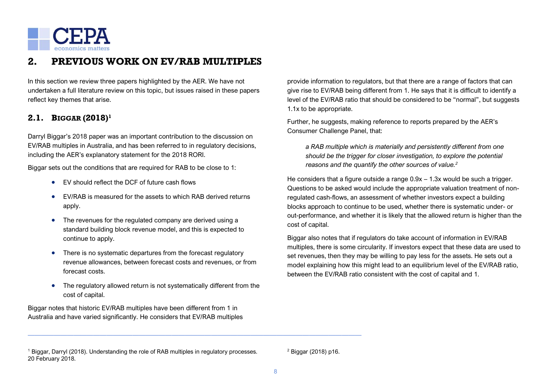

# <span id="page-7-0"></span>**2. PREVIOUS WORK ON EV/RAB MULTIPLES**

In this section we review three papers highlighted by the AER. We have not undertaken a full literature review on this topic, but issues raised in these papers reflect key themes that arise.

# <span id="page-7-1"></span>**2.1. BIGGAR (2018)<sup>1</sup>**

Darryl Biggar's 2018 paper was an important contribution to the discussion on EV/RAB multiples in Australia, and has been referred to in regulatory decisions, including the AER's explanatory statement for the 2018 RORI.

Biggar sets out the conditions that are required for RAB to be close to 1:

- EV should reflect the DCF of future cash flows
- EV/RAB is measured for the assets to which RAB derived returns apply.
- The revenues for the regulated company are derived using a standard building block revenue model, and this is expected to continue to apply.
- There is no systematic departures from the forecast regulatory revenue allowances, between forecast costs and revenues, or from forecast costs.
- The regulatory allowed return is not systematically different from the cost of capital.

———————————————————————————————————————————————————

Biggar notes that historic EV/RAB multiples have been different from 1 in Australia and have varied significantly. He considers that EV/RAB multiples provide information to regulators, but that there are a range of factors that can give rise to EV/RAB being different from 1. He says that it is difficult to identify a level of the EV/RAB ratio that should be considered to be "normal", but suggests 1.1x to be appropriate.

Further, he suggests, making reference to reports prepared by the AER's Consumer Challenge Panel, that:

*a RAB multiple which is materially and persistently different from one should be the trigger for closer investigation, to explore the potential reasons and the quantify the other sources of value.<sup>2</sup>*

He considers that a figure outside a range 0.9x – 1.3x would be such a trigger. Questions to be asked would include the appropriate valuation treatment of nonregulated cash-flows, an assessment of whether investors expect a building blocks approach to continue to be used, whether there is systematic under- or out-performance, and whether it is likely that the allowed return is higher than the cost of capital.

Biggar also notes that if regulators do take account of information in EV/RAB multiples, there is some circularity. If investors expect that these data are used to set revenues, then they may be willing to pay less for the assets. He sets out a model explaining how this might lead to an equilibrium level of the EV/RAB ratio, between the EV/RAB ratio consistent with the cost of capital and 1.

<sup>2</sup> Biggar (2018) p16.

<sup>1</sup> Biggar, Darryl (2018). Understanding the role of RAB multiples in regulatory processes. 20 February 2018.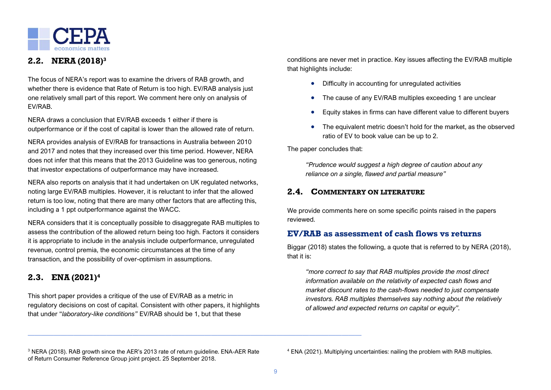

# <span id="page-8-0"></span>**2.2. NERA (2018)<sup>3</sup>**

The focus of NERA's report was to examine the drivers of RAB growth, and whether there is evidence that Rate of Return is too high. EV/RAB analysis just one relatively small part of this report. We comment here only on analysis of EV/RAB.

NERA draws a conclusion that EV/RAB exceeds 1 either if there is outperformance or if the cost of capital is lower than the allowed rate of return.

NERA provides analysis of EV/RAB for transactions in Australia between 2010 and 2017 and notes that they increased over this time period. However, NERA does not infer that this means that the 2013 Guideline was too generous, noting that investor expectations of outperformance may have increased.

NERA also reports on analysis that it had undertaken on UK regulated networks, noting large EV/RAB multiples. However, it is reluctant to infer that the allowed return is too low, noting that there are many other factors that are affecting this, including a 1 ppt outperformance against the WACC.

NERA considers that it is conceptually possible to disaggregate RAB multiples to assess the contribution of the allowed return being too high. Factors it considers it is appropriate to include in the analysis include outperformance, unregulated revenue, control premia, the economic circumstances at the time of any transaction, and the possibility of over-optimism in assumptions.

# <span id="page-8-1"></span>**2.3. ENA (2021) 4**

This short paper provides a critique of the use of EV/RAB as a metric in regulatory decisions on cost of capital. Consistent with other papers, it highlights that under "*laboratory-like conditions"* EV/RAB should be 1, but that these

conditions are never met in practice. Key issues affecting the EV/RAB multiple that highlights include:

- Difficulty in accounting for unregulated activities
- The cause of any EV/RAB multiples exceeding 1 are unclear
- Equity stakes in firms can have different value to different buyers
- The equivalent metric doesn't hold for the market, as the observed ratio of EV to book value can be up to 2.

The paper concludes that:

*"Prudence would suggest a high degree of caution about any reliance on a single, flawed and partial measure"*

# <span id="page-8-2"></span>**2.4. COMMENTARY ON LITERATURE**

We provide comments here on some specific points raised in the papers reviewed.

# **EV/RAB as assessment of cash flows vs returns**

Biggar (2018) states the following, a quote that is referred to by NERA (2018), that it is:

*"more correct to say that RAB multiples provide the most direct information available on the relativity of expected cash flows and market discount rates to the cash-flows needed to just compensate investors. RAB multiples themselves say nothing about the relatively of allowed and expected returns on capital or equity".*

———————————————————————————————————————————————————

<sup>3</sup> NERA (2018). RAB growth since the AER's 2013 rate of return guideline. ENA-AER Rate of Return Consumer Reference Group joint project. 25 September 2018.

<sup>4</sup> ENA (2021). Multiplying uncertainties: nailing the problem with RAB multiples.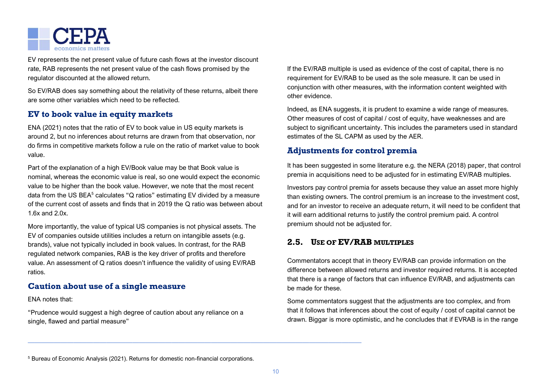

EV represents the net present value of future cash flows at the investor discount rate, RAB represents the net present value of the cash flows promised by the regulator discounted at the allowed return.

So EV/RAB does say something about the relativity of these returns, albeit there are some other variables which need to be reflected.

# **EV to book value in equity markets**

ENA (2021) notes that the ratio of EV to book value in US equity markets is around 2, but no inferences about returns are drawn from that observation, nor do firms in competitive markets follow a rule on the ratio of market value to book value.

Part of the explanation of a high EV/Book value may be that Book value is nominal, whereas the economic value is real, so one would expect the economic value to be higher than the book value. However, we note that the most recent data from the US BEA $<sup>5</sup>$  calculates "Q ratios" estimating EV divided by a measure</sup> of the current cost of assets and finds that in 2019 the Q ratio was between about 1.6 $x$  and 2.0 $x$ 

More importantly, the value of typical US companies is not physical assets. The EV of companies outside utilities includes a return on intangible assets (e.g. brands), value not typically included in book values. In contrast, for the RAB regulated network companies, RAB is the key driver of profits and therefore value. An assessment of Q ratios doesn't influence the validity of using EV/RAB ratios.

# **Caution about use of a single measure**

ENA notes that:

"Prudence would suggest a high degree of caution about any reliance on a single, flawed and partial measure"

If the EV/RAB multiple is used as evidence of the cost of capital, there is no requirement for EV/RAB to be used as the sole measure. It can be used in conjunction with other measures, with the information content weighted with other evidence.

Indeed, as ENA suggests, it is prudent to examine a wide range of measures. Other measures of cost of capital / cost of equity, have weaknesses and are subject to significant uncertainty. This includes the parameters used in standard estimates of the SL CAPM as used by the AER.

# **Adjustments for control premia**

It has been suggested in some literature e.g. the NERA (2018) paper, that control premia in acquisitions need to be adjusted for in estimating EV/RAB multiples.

Investors pay control premia for assets because they value an asset more highly than existing owners. The control premium is an increase to the investment cost, and for an investor to receive an adequate return, it will need to be confident that it will earn additional returns to justify the control premium paid. A control premium should not be adjusted for.

# <span id="page-9-0"></span>**2.5. USE OF EV/RAB MULTIPLES**

Commentators accept that in theory EV/RAB can provide information on the difference between allowed returns and investor required returns. It is accepted that there is a range of factors that can influence EV/RAB, and adjustments can be made for these.

Some commentators suggest that the adjustments are too complex, and from that it follows that inferences about the cost of equity / cost of capital cannot be drawn. Biggar is more optimistic, and he concludes that if EVRAB is in the range

<sup>5</sup> Bureau of Economic Analysis (2021). Returns for domestic non-financial corporations.

———————————————————————————————————————————————————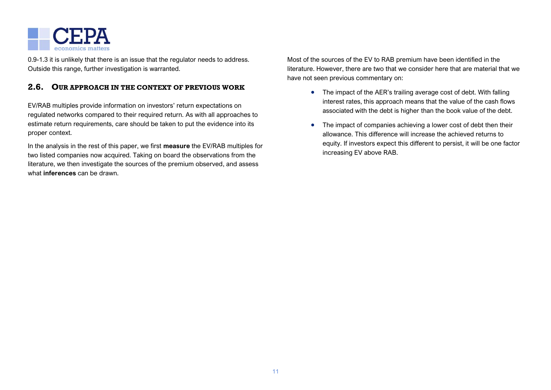

0.9-1.3 it is unlikely that there is an issue that the regulator needs to address. Outside this range, further investigation is warranted.

### <span id="page-10-0"></span>**2.6. OUR APPROACH IN THE CONTEXT OF PREVIOUS WORK**

EV/RAB multiples provide information on investors' return expectations on regulated networks compared to their required return. As with all approaches to estimate return requirements, care should be taken to put the evidence into its proper context.

In the analysis in the rest of this paper, we first **measure** the EV/RAB multiples for two listed companies now acquired. Taking on board the observations from the literature, we then investigate the sources of the premium observed, and assess what **inferences** can be drawn.

Most of the sources of the EV to RAB premium have been identified in the literature. However, there are two that we consider here that are material that we have not seen previous commentary on:

- The impact of the AER's trailing average cost of debt. With falling interest rates, this approach means that the value of the cash flows associated with the debt is higher than the book value of the debt.
- The impact of companies achieving a lower cost of debt then their allowance. This difference will increase the achieved returns to equity. If investors expect this different to persist, it will be one factor increasing EV above RAB.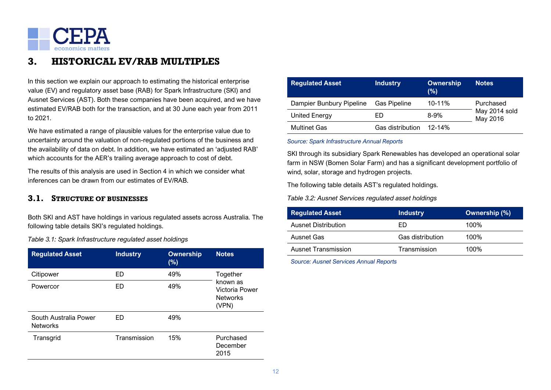

# <span id="page-11-0"></span>**3. HISTORICAL EV/RAB MULTIPLES**

In this section we explain our approach to estimating the historical enterprise value (EV) and regulatory asset base (RAB) for Spark Infrastructure (SKI) and Ausnet Services (AST). Both these companies have been acquired, and we have estimated EV/RAB both for the transaction, and at 30 June each year from 2011 to 2021.

We have estimated a range of plausible values for the enterprise value due to uncertainty around the valuation of non-regulated portions of the business and the availability of data on debt. In addition, we have estimated an 'adjusted RAB' which accounts for the AER's trailing average approach to cost of debt.

The results of this analysis are used in Section 4 in which we consider what inferences can be drawn from our estimates of EV/RAB.

### <span id="page-11-1"></span>**3.1. STRUCTURE OF BUSINESSES**

Both SKI and AST have holdings in various regulated assets across Australia. The following table details SKI's regulated holdings.

*Table 3.1: Spark Infrastructure regulated asset holdings*

| <b>Regulated Asset</b>                   | <b>Industry</b> | <b>Ownership</b><br>(%) | <b>Notes</b>                                           |  |
|------------------------------------------|-----------------|-------------------------|--------------------------------------------------------|--|
| Citipower                                | ED              | 49%                     | Together                                               |  |
| Powercor                                 | ED              | 49%                     | known as<br>Victoria Power<br><b>Networks</b><br>(VPN) |  |
| South Australia Power<br><b>Networks</b> | ED              | 49%                     |                                                        |  |
| Transgrid                                | Transmission    | 15%                     | Purchased<br>December<br>2015                          |  |

| <b>Regulated Asset</b>   | <b>Industry</b>     | Ownership<br>(%) | <b>Notes</b>              |
|--------------------------|---------------------|------------------|---------------------------|
| Dampier Bunbury Pipeline | <b>Gas Pipeline</b> | $10 - 11%$       | Purchased                 |
| <b>United Energy</b>     | ED                  | $8-9%$           | May 2014 sold<br>May 2016 |
| <b>Multinet Gas</b>      | Gas distribution    | 12-14%           |                           |

#### *Source: Spark Infrastructure Annual Reports*

SKI through its subsidiary Spark Renewables has developed an operational solar farm in NSW (Bomen Solar Farm) and has a significant development portfolio of wind, solar, storage and hydrogen projects.

The following table details AST's regulated holdings.

*Table 3.2: Ausnet Services regulated asset holdings*

| <b>Regulated Asset</b>     | <b>Industry</b>         | Ownership (%) |
|----------------------------|-------------------------|---------------|
| Ausnet Distribution        | FD                      | 100%          |
| Ausnet Gas                 | <b>Gas distribution</b> | 100%          |
| <b>Ausnet Transmission</b> | Transmission            | 100%          |

*Source: Ausnet Services Annual Reports*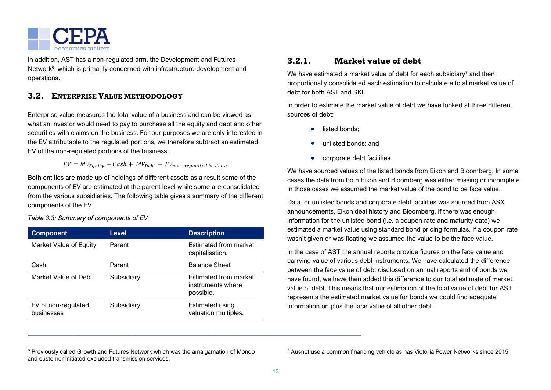

In addition, AST has a non-regulated arm, the Development and Futures Network<sup>6</sup>, which is primarily concerned with infrastructure development and operations.

# <span id="page-12-0"></span>**3.2. ENTERPRISE VALUE METHODOLOGY**

Enterprise value measures the total value of a business and can be viewed as what an investor would need to pay to purchase all the equity and debt and other securities with claims on the business. For our purposes we are only interested in the EV attributable to the regulated portions, we therefore subtract an estimated EV of the non-regulated portions of the business.

 $EV = MV_{Equiv} - Cash + MV_{Debt} - EV_{non-reaudited business}$ 

Both entities are made up of holdings of different assets as a result some of the components of EV are estimated at the parent level while some are consolidated from the various subsidiaries. The following table gives a summary of the different components of the EV.

*Table 3.3: Summary of components of EV*

| <b>Component</b>                  | <b>Level</b> | <b>Description</b>                                             |
|-----------------------------------|--------------|----------------------------------------------------------------|
| Market Value of Equity            | Parent       | Estimated from market<br>capitalisation.                       |
| Cash                              | Parent       | <b>Balance Sheet</b>                                           |
| Market Value of Debt              | Subsidiary   | <b>Estimated from market</b><br>instruments where<br>possible. |
| EV of non-regulated<br>businesses | Subsidiary   | Estimated using<br>valuation multiples.                        |

# **3.2.1. Market value of debt**

We have estimated a market value of debt for each subsidiary<sup>7</sup> and then proportionally consolidated each estimation to calculate a total market value of debt for both AST and SKI.

In order to estimate the market value of debt we have looked at three different sources of debt:

- listed bonds:
- unlisted bonds; and
- corporate debt facilities.

We have sourced values of the listed bonds from Eikon and Bloomberg. In some cases the data from both Eikon and Bloomberg was either missing or incomplete. In those cases we assumed the market value of the bond to be face value.

Data for unlisted bonds and corporate debt facilities was sourced from ASX announcements, Eikon deal history and Bloomberg. If there was enough information for the unlisted bond (i.e. a coupon rate and maturity date) we estimated a market value using standard bond pricing formulas. If a coupon rate wasn't given or was floating we assumed the value to be the face value.

In the case of AST the annual reports provide figures on the face value and carrying value of various debt instruments. We have calculated the difference between the face value of debt disclosed on annual reports and of bonds we have found, we have then added this difference to our total estimate of market value of debt. This means that our estimation of the total value of debt for AST represents the estimated market value for bonds we could find adequate information on plus the face value of all other debt.

<sup>6</sup> Previously called Growth and Futures Network which was the amalgamation of Mondo and customer initiated excluded transmission services.

———————————————————————————————————————————————————

<sup>7</sup> Ausnet use a common financing vehicle as has Victoria Power Networks since 2015.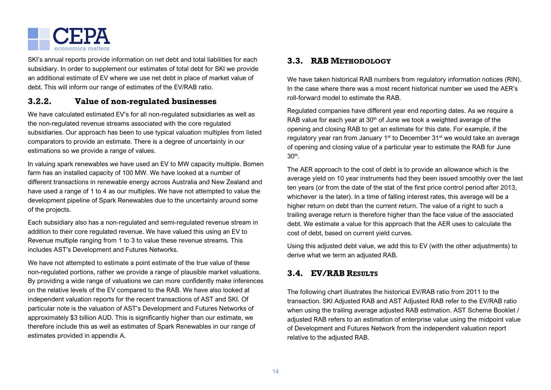

SKI's annual reports provide information on net debt and total liabilities for each subsidiary. In order to supplement our estimates of total debt for SKI we provide an additional estimate of EV where we use net debt in place of market value of debt. This will inform our range of estimates of the EV/RAB ratio.

# **3.2.2. Value of non-regulated businesses**

We have calculated estimated EV's for all non-regulated subsidiaries as well as the non-regulated revenue streams associated with the core regulated subsidiaries. Our approach has been to use typical valuation multiples from listed comparators to provide an estimate. There is a degree of uncertainty in our estimations so we provide a range of values.

In valuing spark renewables we have used an EV to MW capacity multiple. Bomen farm has an installed capacity of 100 MW. We have looked at a number of different transactions in renewable energy across Australia and New Zealand and have used a range of 1 to 4 as our multiples. We have not attempted to value the development pipeline of Spark Renewables due to the uncertainty around some of the projects.

Each subsidiary also has a non-regulated and semi-regulated revenue stream in addition to their core regulated revenue. We have valued this using an EV to Revenue multiple ranging from 1 to 3 to value these revenue streams. This includes AST's Development and Futures Networks.

We have not attempted to estimate a point estimate of the true value of these non-regulated portions, rather we provide a range of plausible market valuations. By providing a wide range of valuations we can more confidently make inferences on the relative levels of the EV compared to the RAB. We have also looked at independent valuation reports for the recent transactions of AST and SKI. Of particular note is the valuation of AST's Development and Futures Networks of approximately \$3 billion AUD. This is significantly higher than our estimate, we therefore include this as well as estimates of Spark Renewables in our range of estimates provided in appendix A.

## <span id="page-13-0"></span>**3.3. RAB METHODOLOGY**

We have taken historical RAB numbers from regulatory information notices (RIN). In the case where there was a most recent historical number we used the AER's roll-forward model to estimate the RAB.

Regulated companies have different year end reporting dates. As we require a RAB value for each year at  $30<sup>th</sup>$  of June we took a weighted average of the opening and closing RAB to get an estimate for this date. For example, if the regulatory year ran from January 1<sup>st</sup> to December 31<sup>st</sup> we would take an average of opening and closing value of a particular year to estimate the RAB for June 30th .

The AER approach to the cost of debt is to provide an allowance which is the average yield on 10 year instruments had they been issued smoothly over the last ten years (or from the date of the stat of the first price control period after 2013, whichever is the later). In a time of falling interest rates, this average will be a higher return on debt than the current return. The value of a right to such a trailing average return is therefore higher than the face value of the associated debt. We estimate a value for this approach that the AER uses to calculate the cost of debt, based on current yield curves.

Using this adjusted debt value, we add this to EV (with the other adjustments) to derive what we term an adjusted RAB.

# <span id="page-13-1"></span>**3.4. EV/RAB RESULTS**

The following chart illustrates the historical EV/RAB ratio from 2011 to the transaction. SKI Adjusted RAB and AST Adjusted RAB refer to the EV/RAB ratio when using the trailing average adjusted RAB estimation. AST Scheme Booklet / adjusted RAB refers to an estimation of enterprise value using the midpoint value of Development and Futures Network from the independent valuation report relative to the adjusted RAB.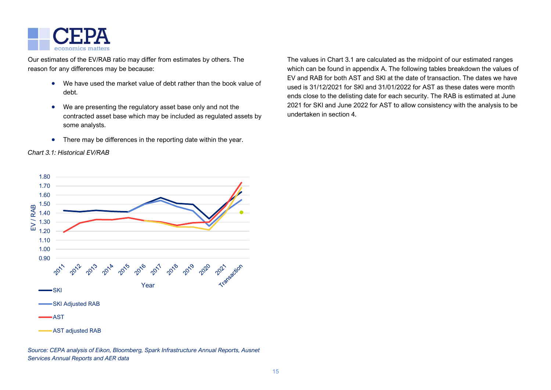

Our estimates of the EV/RAB ratio may differ from estimates by others. The reason for any differences may be because:

- We have used the market value of debt rather than the book value of debt.
- We are presenting the regulatory asset base only and not the contracted asset base which may be included as regulated assets by some analysts.
- There may be differences in the reporting date within the year.

### *Chart 3.1: Historical EV/RAB*

The values in Chart 3.1 are calculated as the midpoint of our estimated ranges which can be found in appendix A. The following tables breakdown the values of EV and RAB for both AST and SKI at the date of transaction. The dates we have used is 31/12/2021 for SKI and 31/01/2022 for AST as these dates were month ends close to the delisting date for each security. The RAB is estimated at June 2021 for SKI and June 2022 for AST to allow consistency with the analysis to be undertaken in section 4.



*Source: CEPA analysis of Eikon, Bloomberg, Spark Infrastructure Annual Reports, Ausnet Services Annual Reports and AER data*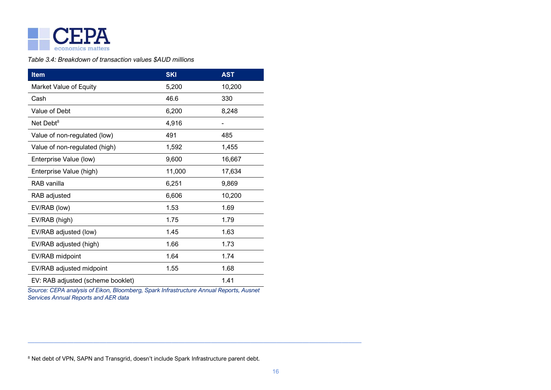

### *Table 3.4: Breakdown of transaction values \$AUD millions*

| <b>Item</b>                       | <b>SKI</b> | <b>AST</b> |
|-----------------------------------|------------|------------|
| Market Value of Equity            | 5,200      | 10,200     |
| Cash                              | 46.6       | 330        |
| Value of Debt                     | 6,200      | 8,248      |
| Net Debt <sup>8</sup>             | 4,916      |            |
| Value of non-regulated (low)      | 491        | 485        |
| Value of non-regulated (high)     | 1,592      | 1,455      |
| Enterprise Value (low)            | 9,600      | 16,667     |
| Enterprise Value (high)           | 11,000     | 17,634     |
| RAB vanilla                       | 6,251      | 9,869      |
| RAB adjusted                      | 6,606      | 10,200     |
| EV/RAB (low)                      | 1.53       | 1.69       |
| EV/RAB (high)                     | 1.75       | 1.79       |
| EV/RAB adjusted (low)             | 1.45       | 1.63       |
| EV/RAB adjusted (high)            | 1.66       | 1.73       |
| EV/RAB midpoint                   | 1.64       | 1.74       |
| EV/RAB adjusted midpoint          | 1.55       | 1.68       |
| EV: RAB adjusted (scheme booklet) |            | 1.41       |

*Source: CEPA analysis of Eikon, Bloomberg, Spark Infrastructure Annual Reports, Ausnet Services Annual Reports and AER data*

<sup>8</sup> Net debt of VPN, SAPN and Transgrid, doesn't include Spark Infrastructure parent debt.

———————————————————————————————————————————————————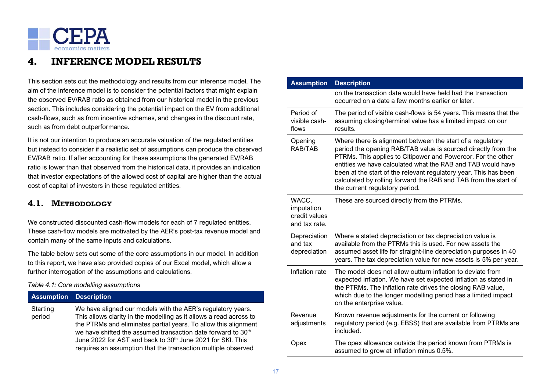

# <span id="page-16-0"></span>**4. INFERENCE MODEL RESULTS**

This section sets out the methodology and results from our inference model. The aim of the inference model is to consider the potential factors that might explain the observed EV/RAB ratio as obtained from our historical model in the previous section. This includes considering the potential impact on the EV from additional cash-flows, such as from incentive schemes, and changes in the discount rate, such as from debt outperformance.

It is not our intention to produce an accurate valuation of the regulated entities but instead to consider if a realistic set of assumptions can produce the observed EV/RAB ratio. If after accounting for these assumptions the generated EV/RAB ratio is lower than that observed from the historical data, it provides an indication that investor expectations of the allowed cost of capital are higher than the actual cost of capital of investors in these regulated entities.

# <span id="page-16-1"></span>**4.1. METHODOLOGY**

We constructed discounted cash-flow models for each of 7 regulated entities. These cash-flow models are motivated by the AER's post-tax revenue model and contain many of the same inputs and calculations.

The table below sets out some of the core assumptions in our model. In addition to this report, we have also provided copies of our Excel model, which allow a further interrogation of the assumptions and calculations.

### *Table 4.1: Core modelling assumptions*

| <b>Assumption Description</b> |                                                                                                                                                                                                                                                                                                                                                                                                                             |
|-------------------------------|-----------------------------------------------------------------------------------------------------------------------------------------------------------------------------------------------------------------------------------------------------------------------------------------------------------------------------------------------------------------------------------------------------------------------------|
| Starting<br>period            | We have aligned our models with the AER's regulatory years.<br>This allows clarity in the modelling as it allows a read across to<br>the PTRMs and eliminates partial years. To allow this alignment<br>we have shifted the assumed transaction date forward to 30 <sup>th</sup><br>June 2022 for AST and back to 30 <sup>th</sup> June 2021 for SKI. This<br>requires an assumption that the transaction multiple observed |

| <b>Assumption</b>                                     | <b>Description</b>                                                                                                                                                                                                                                                                                                                                                                                                                  |
|-------------------------------------------------------|-------------------------------------------------------------------------------------------------------------------------------------------------------------------------------------------------------------------------------------------------------------------------------------------------------------------------------------------------------------------------------------------------------------------------------------|
|                                                       | on the transaction date would have held had the transaction<br>occurred on a date a few months earlier or later.                                                                                                                                                                                                                                                                                                                    |
| Period of<br>visible cash-<br>flows                   | The period of visible cash-flows is 54 years. This means that the<br>assuming closing/terminal value has a limited impact on our<br>results.                                                                                                                                                                                                                                                                                        |
| Opening<br>RAB/TAB                                    | Where there is alignment between the start of a regulatory<br>period the opening RAB/TAB value is sourced directly from the<br>PTRMs. This applies to Citipower and Powercor. For the other<br>entities we have calculated what the RAB and TAB would have<br>been at the start of the relevant regulatory year. This has been<br>calculated by rolling forward the RAB and TAB from the start of<br>the current regulatory period. |
| WACC,<br>imputation<br>credit values<br>and tax rate. | These are sourced directly from the PTRMs.                                                                                                                                                                                                                                                                                                                                                                                          |
| Depreciation<br>and tax<br>depreciation               | Where a stated depreciation or tax depreciation value is<br>available from the PTRMs this is used. For new assets the<br>assumed asset life for straight-line depreciation purposes in 40<br>years. The tax depreciation value for new assets is 5% per year.                                                                                                                                                                       |
| Inflation rate                                        | The model does not allow outturn inflation to deviate from<br>expected inflation. We have set expected inflation as stated in<br>the PTRMs. The inflation rate drives the closing RAB value,<br>which due to the longer modelling period has a limited impact<br>on the enterprise value.                                                                                                                                           |
| Revenue<br>adjustments                                | Known revenue adjustments for the current or following<br>regulatory period (e.g. EBSS) that are available from PTRMs are<br>included.                                                                                                                                                                                                                                                                                              |
| Opex                                                  | The opex allowance outside the period known from PTRMs is<br>assumed to grow at inflation minus 0.5%.                                                                                                                                                                                                                                                                                                                               |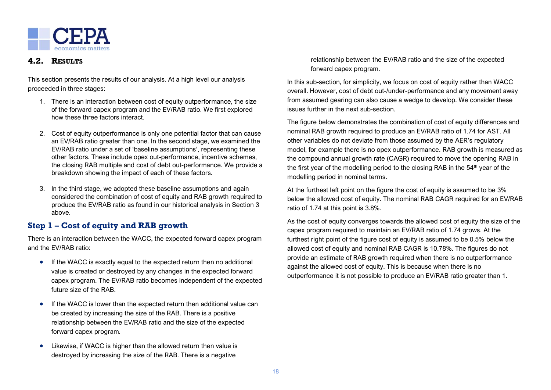

## <span id="page-17-0"></span>**4.2. RESULTS**

This section presents the results of our analysis. At a high level our analysis proceeded in three stages:

- 1. There is an interaction between cost of equity outperformance, the size of the forward capex program and the EV/RAB ratio. We first explored how these three factors interact.
- 2. Cost of equity outperformance is only one potential factor that can cause an EV/RAB ratio greater than one. In the second stage, we examined the EV/RAB ratio under a set of 'baseline assumptions', representing these other factors. These include opex out-performance, incentive schemes, the closing RAB multiple and cost of debt out-performance. We provide a breakdown showing the impact of each of these factors.
- 3. In the third stage, we adopted these baseline assumptions and again considered the combination of cost of equity and RAB growth required to produce the EV/RAB ratio as found in our historical analysis in Section 3 above.

# **Step 1 – Cost of equity and RAB growth**

There is an interaction between the WACC, the expected forward capex program and the EV/RAB ratio:

- If the WACC is exactly equal to the expected return then no additional value is created or destroyed by any changes in the expected forward capex program. The EV/RAB ratio becomes independent of the expected future size of the RAB.
- If the WACC is lower than the expected return then additional value can be created by increasing the size of the RAB. There is a positive relationship between the EV/RAB ratio and the size of the expected forward capex program.
- Likewise, if WACC is higher than the allowed return then value is destroyed by increasing the size of the RAB. There is a negative

relationship between the EV/RAB ratio and the size of the expected forward capex program.

In this sub-section, for simplicity, we focus on cost of equity rather than WACC overall. However, cost of debt out-/under-performance and any movement away from assumed gearing can also cause a wedge to develop. We consider these issues further in the next sub-section.

The figure below demonstrates the combination of cost of equity differences and nominal RAB growth required to produce an EV/RAB ratio of 1.74 for AST. All other variables do not deviate from those assumed by the AER's regulatory model, for example there is no opex outperformance. RAB growth is measured as the compound annual growth rate (CAGR) required to move the opening RAB in the first year of the modelling period to the closing RAB in the 54<sup>th</sup> year of the modelling period in nominal terms.

At the furthest left point on the figure the cost of equity is assumed to be 3% below the allowed cost of equity. The nominal RAB CAGR required for an EV/RAB ratio of 1.74 at this point is 3.8%.

As the cost of equity converges towards the allowed cost of equity the size of the capex program required to maintain an EV/RAB ratio of 1.74 grows. At the furthest right point of the figure cost of equity is assumed to be 0.5% below the allowed cost of equity and nominal RAB CAGR is 10.78%. The figures do not provide an estimate of RAB growth required when there is no outperformance against the allowed cost of equity. This is because when there is no outperformance it is not possible to produce an EV/RAB ratio greater than 1.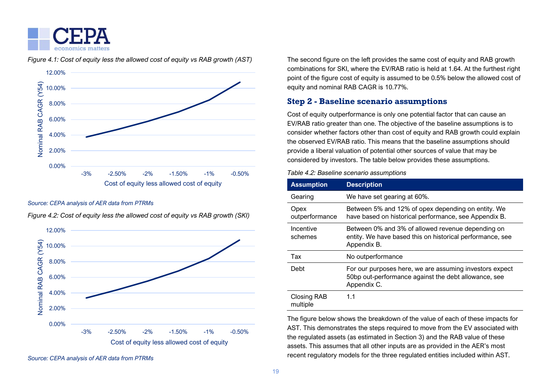



*Figure 4.1: Cost of equity less the allowed cost of equity vs RAB growth (AST)*

#### *Source: CEPA analysis of AER data from PTRMs*



*Figure 4.2: Cost of equity less the allowed cost of equity vs RAB growth (SKI)*

The second figure on the left provides the same cost of equity and RAB growth combinations for SKI, where the EV/RAB ratio is held at 1.64. At the furthest right point of the figure cost of equity is assumed to be 0.5% below the allowed cost of equity and nominal RAB CAGR is 10.77%.

# **Step 2 - Baseline scenario assumptions**

Cost of equity outperformance is only one potential factor that can cause an EV/RAB ratio greater than one. The objective of the baseline assumptions is to consider whether factors other than cost of equity and RAB growth could explain the observed EV/RAB ratio. This means that the baseline assumptions should provide a liberal valuation of potential other sources of value that may be considered by investors. The table below provides these assumptions.

| <b>Assumption</b>              | <b>Description</b>                                                                                                             |
|--------------------------------|--------------------------------------------------------------------------------------------------------------------------------|
| Gearing                        | We have set gearing at 60%.                                                                                                    |
| Opex<br>outperformance         | Between 5% and 12% of opex depending on entity. We<br>have based on historical performance, see Appendix B.                    |
| Incentive<br>schemes           | Between 0% and 3% of allowed revenue depending on<br>entity. We have based this on historical performance, see<br>Appendix B.  |
| Tax                            | No outperformance                                                                                                              |
| Debt                           | For our purposes here, we are assuming investors expect<br>50bp out-performance against the debt allowance, see<br>Appendix C. |
| <b>Closing RAB</b><br>multiple | 1.1                                                                                                                            |

The figure below shows the breakdown of the value of each of these impacts for AST. This demonstrates the steps required to move from the EV associated with the regulated assets (as estimated in Section 3) and the RAB value of these assets. This assumes that all other inputs are as provided in the AER's most recent regulatory models for the three regulated entities included within AST.

*Source: CEPA analysis of AER data from PTRMs*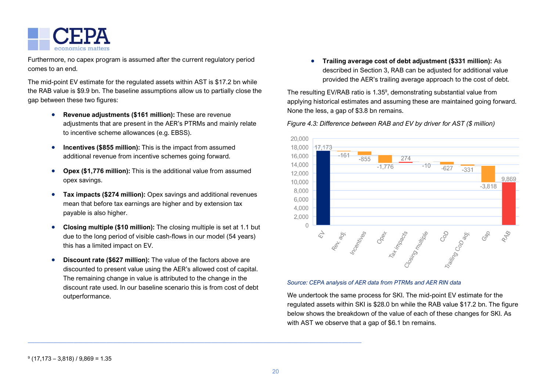

Furthermore, no capex program is assumed after the current regulatory period comes to an end.

The mid-point EV estimate for the regulated assets within AST is \$17.2 bn while the RAB value is \$9.9 bn. The baseline assumptions allow us to partially close the gap between these two figures:

- **Revenue adjustments (\$161 million):** These are revenue adjustments that are present in the AER's PTRMs and mainly relate to incentive scheme allowances (e.g. EBSS).
- **Incentives (\$855 million):** This is the impact from assumed additional revenue from incentive schemes going forward.
- **Opex (\$1,776 million):** This is the additional value from assumed opex savings.
- **Tax impacts (\$274 million):** Opex savings and additional revenues mean that before tax earnings are higher and by extension tax payable is also higher.
- **Closing multiple (\$10 million):** The closing multiple is set at 1.1 but due to the long period of visible cash-flows in our model (54 years) this has a limited impact on EV.
- **Discount rate (\$627 million):** The value of the factors above are discounted to present value using the AER's allowed cost of capital. The remaining change in value is attributed to the change in the discount rate used. In our baseline scenario this is from cost of debt outperformance.

———————————————————————————————————————————————————

• **Trailing average cost of debt adjustment (\$331 million):** As described in Section 3, RAB can be adjusted for additional value provided the AER's trailing average approach to the cost of debt.

The resulting EV/RAB ratio is 1.35<sup>9</sup>, demonstrating substantial value from applying historical estimates and assuming these are maintained going forward. None the less, a gap of \$3.8 bn remains.

### *Figure 4.3: Difference between RAB and EV by driver for AST (\$ million)*



#### *Source: CEPA analysis of AER data from PTRMs and AER RIN data*

We undertook the same process for SKI. The mid-point EV estimate for the regulated assets within SKI is \$28.0 bn while the RAB value \$17.2 bn. The figure below shows the breakdown of the value of each of these changes for SKI. As with AST we observe that a gap of \$6.1 bn remains.

9 (17,173 – 3,818) / 9,869 = 1.35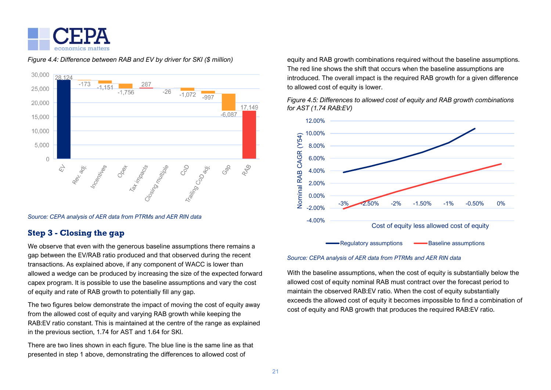

#### 30,000 28 124  $-173$ 287  $-1.151$ 25,000  $-26$  $-1,756$  $-1.072$  $-997$ 20,000 17.149  $-6,087$ 15,000 10.000 5,000  $\Omega$ RAB Gab Rev. agr. Incentives ing Coop air. Closing Muttister  $\overrightarrow{D}$ Tax impacts

#### *Figure 4.4: Difference between RAB and EV by driver for SKI (\$ million)*

*Source: CEPA analysis of AER data from PTRMs and AER RIN data*

# **Step 3 - Closing the gap**

We observe that even with the generous baseline assumptions there remains a gap between the EV/RAB ratio produced and that observed during the recent transactions. As explained above, if any component of WACC is lower than allowed a wedge can be produced by increasing the size of the expected forward capex program. It is possible to use the baseline assumptions and vary the cost of equity and rate of RAB growth to potentially fill any gap.

The two figures below demonstrate the impact of moving the cost of equity away from the allowed cost of equity and varying RAB growth while keeping the RAB:EV ratio constant. This is maintained at the centre of the range as explained in the previous section, 1.74 for AST and 1.64 for SKI.

There are two lines shown in each figure. The blue line is the same line as that presented in step 1 above, demonstrating the differences to allowed cost of

equity and RAB growth combinations required without the baseline assumptions. The red line shows the shift that occurs when the baseline assumptions are introduced. The overall impact is the required RAB growth for a given difference to allowed cost of equity is lower.

*Figure 4.5: Differences to allowed cost of equity and RAB growth combinations for AST (1.74 RAB:EV)*



*Source: CEPA analysis of AER data from PTRMs and AER RIN data*

With the baseline assumptions, when the cost of equity is substantially below the allowed cost of equity nominal RAB must contract over the forecast period to maintain the observed RAB:EV ratio. When the cost of equity substantially exceeds the allowed cost of equity it becomes impossible to find a combination of cost of equity and RAB growth that produces the required RAB:EV ratio.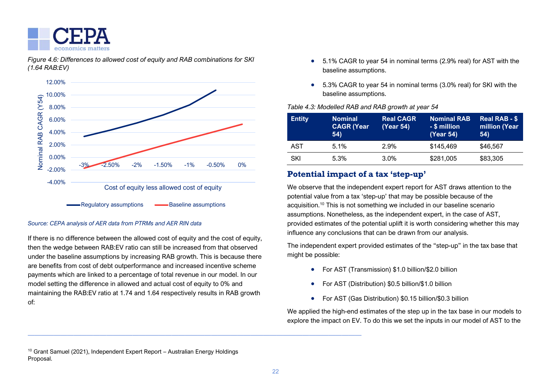

*Figure 4.6: Differences to allowed cost of equity and RAB combinations for SKI (1.64 RAB:EV)* 



### *Source: CEPA analysis of AER data from PTRMs and AER RIN data*

If there is no difference between the allowed cost of equity and the cost of equity, then the wedge between RAB:EV ratio can still be increased from that observed under the baseline assumptions by increasing RAB growth. This is because there are benefits from cost of debt outperformance and increased incentive scheme payments which are linked to a percentage of total revenue in our model. In our model setting the difference in allowed and actual cost of equity to 0% and maintaining the RAB:EV ratio at 1.74 and 1.64 respectively results in RAB growth of:

———————————————————————————————————————————————————

- 5.1% CAGR to year 54 in nominal terms (2.9% real) for AST with the baseline assumptions.
- 5.3% CAGR to year 54 in nominal terms (3.0% real) for SKI with the baseline assumptions.

### *Table 4.3: Modelled RAB and RAB growth at year 54*

| <b>Entity</b> | <b>Nominal</b><br><b>CAGR (Year</b><br>54) | <b>Real CAGR</b><br>(Year 54) | <b>Nominal RAB</b><br>- \$ million<br>(Year 54) | <b>Real RAB - \$</b><br>million (Year<br>54) |
|---------------|--------------------------------------------|-------------------------------|-------------------------------------------------|----------------------------------------------|
| AST           | 5.1%                                       | 2.9%                          | \$145,469                                       | \$46,567                                     |
| SKI           | 5.3%                                       | 3.0%                          | \$281,005                                       | \$83,305                                     |

# **Potential impact of a tax 'step-up'**

We observe that the independent expert report for AST draws attention to the potential value from a tax 'step-up' that may be possible because of the acquisition.<sup>10</sup> This is not something we included in our baseline scenario assumptions. Nonetheless, as the independent expert, in the case of AST, provided estimates of the potential uplift it is worth considering whether this may influence any conclusions that can be drawn from our analysis.

The independent expert provided estimates of the "step-up" in the tax base that might be possible:

- For AST (Transmission) \$1.0 billion/\$2.0 billion
- For AST (Distribution) \$0.5 billion/\$1.0 billion
- For AST (Gas Distribution) \$0.15 billion/\$0.3 billion

We applied the high-end estimates of the step up in the tax base in our models to explore the impact on EV. To do this we set the inputs in our model of AST to the

<sup>10</sup> Grant Samuel (2021), Independent Expert Report – Australian Energy Holdings Proposal.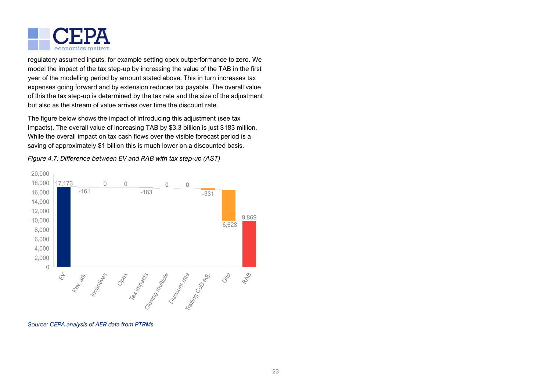

regulatory assumed inputs, for example setting opex outperformance to zero. We model the impact of the tax step-up by increasing the value of the TAB in the first year of the modelling period by amount stated above. This in turn increases tax expenses going forward and by extension reduces tax payable. The overall value of this the tax step-up is determined by the tax rate and the size of the adjustment but also as the stream of value arrives over time the discount rate.

The figure below shows the impact of introducing this adjustment (see tax impacts). The overall value of increasing TAB by \$3.3 billion is just \$183 million. While the overall impact on tax cash flows over the visible forecast period is a saving of approximately \$1 billion this is much lower on a discounted basis.

20,000 18,000 17.173  $\bigcap$  $\bigcap$  $\cap$  $\bigcap$ 16,000  $-161$  $-183$  $-331$ 14,000 12,000 9.869 10,000  $-6.628$ 8,000 6,000 4,000 2,000  $\bigcap$ Rev. range of the Reversion of the Rev. RAB  $\overleftrightarrow{\mathcal{L}}$ 

*Figure 4.7: Difference between EV and RAB with tax step-up (AST)*

*Source: CEPA analysis of AER data from PTRMs*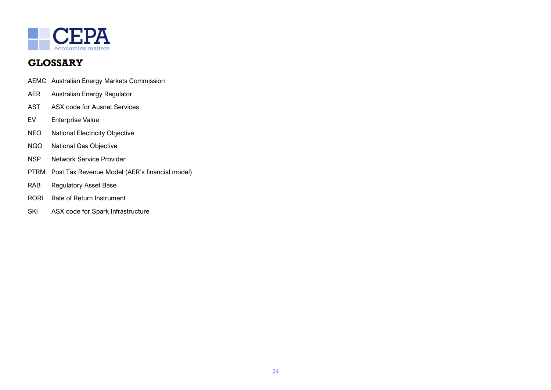

# <span id="page-23-0"></span>**GLOSSARY**

- AEMC Australian Energy Markets Commission
- AER Australian Energy Regulator
- AST ASX code for Ausnet Services
- EV Enterprise Value
- NEO National Electricity Objective
- NGO National Gas Objective
- NSP Network Service Provider
- PTRM Post Tax Revenue Model (AER's financial model)
- RAB Regulatory Asset Base
- RORI Rate of Return Instrument
- SKI ASX code for Spark Infrastructure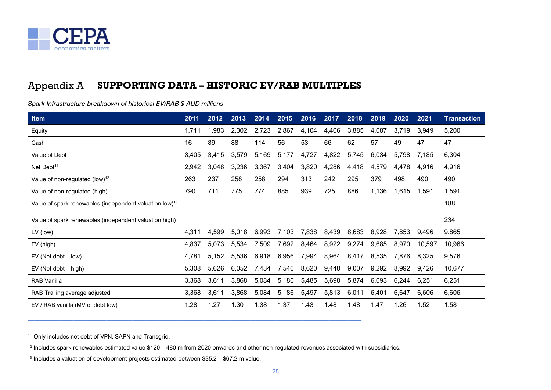

#### <span id="page-24-0"></span>Appendix A **SUPPORTING DATA – HISTORIC EV/RAB MULTIPLES**

*Spark Infrastructure breakdown of historical EV/RAB \$ AUD millions*

| Item                                                                | 2011  | 2012  | 2013  | 2014  | 2015  | 2016  | 2017  | 2018  | 2019  | 2020  | 2021   | <b>Transaction</b> |
|---------------------------------------------------------------------|-------|-------|-------|-------|-------|-------|-------|-------|-------|-------|--------|--------------------|
| Equity                                                              | 1,711 | 1,983 | 2,302 | 2,723 | 2,867 | 4,104 | 4,406 | 3,885 | 4,087 | 3,719 | 3,949  | 5,200              |
| Cash                                                                | 16    | 89    | 88    | 114   | 56    | 53    | 66    | 62    | 57    | 49    | 47     | 47                 |
| Value of Debt                                                       | 3,405 | 3,415 | 3,579 | 5,169 | 5,177 | 4,727 | 4,822 | 5,745 | 6,034 | 5,798 | 7,185  | 6,304              |
| Net Debt <sup>11</sup>                                              | 2,942 | 3,048 | 3,236 | 3,367 | 3,404 | 3,820 | 4,286 | 4,418 | 4,579 | 4,478 | 4,916  | 4,916              |
| Value of non-regulated (low) $12$                                   | 263   | 237   | 258   | 258   | 294   | 313   | 242   | 295   | 379   | 498   | 490    | 490                |
| Value of non-regulated (high)                                       | 790   | 711   | 775   | 774   | 885   | 939   | 725   | 886   | 1,136 | 1,615 | 1,591  | 1,591              |
| Value of spark renewables (independent valuation low) <sup>13</sup> |       |       |       |       |       |       |       |       |       |       |        | 188                |
| Value of spark renewables (independent valuation high)              |       |       |       |       |       |       |       |       |       |       |        | 234                |
| EV (low)                                                            | 4,311 | 4,599 | 5,018 | 6,993 | 7,103 | 7,838 | 8,439 | 8,683 | 8,928 | 7,853 | 9,496  | 9,865              |
| EV (high)                                                           | 4,837 | 5,073 | 5,534 | 7,509 | 7,692 | 8,464 | 8,922 | 9,274 | 9,685 | 8,970 | 10,597 | 10,966             |
| $EV$ (Net debt $-$ low)                                             | 4,781 | 5,152 | 5,536 | 6,918 | 6,956 | 7,994 | 8,964 | 8,417 | 8,535 | 7,876 | 8,325  | 9,576              |
| EV (Net debt – high)                                                | 5,308 | 5,626 | 6,052 | 7,434 | 7,546 | 8,620 | 9,448 | 9,007 | 9,292 | 8,992 | 9,426  | 10,677             |
| RAB Vanilla                                                         | 3,368 | 3,611 | 3,868 | 5,084 | 5,186 | 5,485 | 5,698 | 5,874 | 6,093 | 6,244 | 6,251  | 6,251              |
| RAB Trailing average adjusted                                       | 3,368 | 3,611 | 3,868 | 5,084 | 5,186 | 5,497 | 5,813 | 6,011 | 6,401 | 6,647 | 6,606  | 6,606              |
| EV / RAB vanilla (MV of debt low)                                   | 1.28  | 1.27  | 1.30  | 1.38  | 1.37  | 1.43  | 1.48  | 1.48  | 1.47  | 1.26  | 1.52   | 1.58               |

<sup>11</sup> Only includes net debt of VPN, SAPN and Transgrid.

<sup>12</sup> Includes spark renewables estimated value \$120 – 480 m from 2020 onwards and other non-regulated revenues associated with subsidiaries.

———————————————————————————————————————————————————

 $13$  Includes a valuation of development projects estimated between \$35.2 – \$67.2 m value.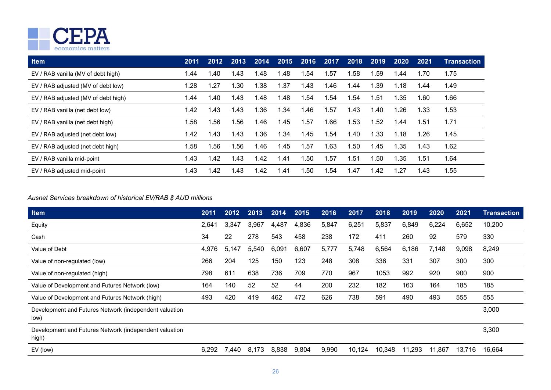

| <b>Item</b>                         | 2011 | 2012 | 2013 | 2014 | 2015 | 2016 | 2017 | 2018 | 2019 | 2020  | 2021 | Transaction |
|-------------------------------------|------|------|------|------|------|------|------|------|------|-------|------|-------------|
| EV / RAB vanilla (MV of debt high)  | 1.44 | 40.۱ | l.43 | l.48 | 1.48 | 1.54 | 1.57 | .58  | 1.59 | .44   | 1.70 | 1.75        |
| EV / RAB adjusted (MV of debt low)  | 1.28 | 1.27 | l.30 | .38  | 1.37 | 1.43 | l.46 | .44  | 1.39 | 1.18  | 1.44 | 1.49        |
| EV / RAB adjusted (MV of debt high) | 1.44 | 1.40 | 1.43 | 1.48 | 1.48 | 1.54 | 1.54 | 1.54 | 1.51 | 1.35  | 1.60 | 1.66        |
| EV / RAB vanilla (net debt low)     | 1.42 | 1.43 | l.43 | .36  | 1.34 | 1.46 | 1.57 | ∣.43 | 1.40 | 1.26  | 1.33 | 1.53        |
| EV / RAB vanilla (net debt high)    | 1.58 | l.56 | .56  | 1.46 | 1.45 | 1.57 | 1.66 | .53  | 1.52 | 44. ا | 1.51 | 1.71        |
| EV / RAB adjusted (net debt low)    | 1.42 | 1.43 | l.43 | .36  | 1.34 | 1.45 | 1.54 | ∣.40 | 1.33 | 1.18  | 1.26 | 1.45        |
| EV / RAB adjusted (net debt high)   | 1.58 | 1.56 | .56  | 1.46 | 1.45 | 1.57 | 1.63 | l.50 | 1.45 | 1.35  | 1.43 | 1.62        |
| EV / RAB vanilla mid-point          | 1.43 | 1.42 | l.43 | 1.42 | 1.41 | 1.50 | 1.57 | l.51 | 1.50 | 1.35  | 1.51 | 1.64        |
| EV / RAB adjusted mid-point         | 1.43 | 1.42 | l.43 | 1.42 | 1.41 | 1.50 | 1.54 | .47  | 1.42 | 1.27  | 1.43 | 1.55        |

### *Ausnet Services breakdown of historical EV/RAB \$ AUD millions*

| Item                                                            | 2011  | 2012  | 2013  | 2014  | 2015  | 2016  | 2017   | 2018   | 2019   | 2020   | 2021   | Transaction |
|-----------------------------------------------------------------|-------|-------|-------|-------|-------|-------|--------|--------|--------|--------|--------|-------------|
| Equity                                                          | 2,641 | 3,347 | 3,967 | 4,487 | 4,836 | 5,847 | 6,251  | 5,837  | 6,849  | 6,224  | 6,652  | 10,200      |
| Cash                                                            | 34    | 22    | 278   | 543   | 458   | 238   | 172    | 411    | 260    | 92     | 579    | 330         |
| Value of Debt                                                   | 4,976 | 5,147 | 5,540 | 6,091 | 6,607 | 5,777 | 5,748  | 6,564  | 6,186  | 7,148  | 9,098  | 8,249       |
| Value of non-regulated (low)                                    | 266   | 204   | 125   | 150   | 123   | 248   | 308    | 336    | 331    | 307    | 300    | 300         |
| Value of non-regulated (high)                                   | 798   | 611   | 638   | 736   | 709   | 770   | 967    | 1053   | 992    | 920    | 900    | 900         |
| Value of Development and Futures Network (low)                  | 164   | 140   | 52    | 52    | 44    | 200   | 232    | 182    | 163    | 164    | 185    | 185         |
| Value of Development and Futures Network (high)                 | 493   | 420   | 419   | 462   | 472   | 626   | 738    | 591    | 490    | 493    | 555    | 555         |
| Development and Futures Network (independent valuation<br>low)  |       |       |       |       |       |       |        |        |        |        |        | 3,000       |
| Development and Futures Network (independent valuation<br>high) |       |       |       |       |       |       |        |        |        |        |        | 3,300       |
| EV (low)                                                        | 6,292 | 7,440 | 8,173 | 8,838 | 9,804 | 9,990 | 10,124 | 10,348 | 11,293 | 11,867 | 13,716 | 16,664      |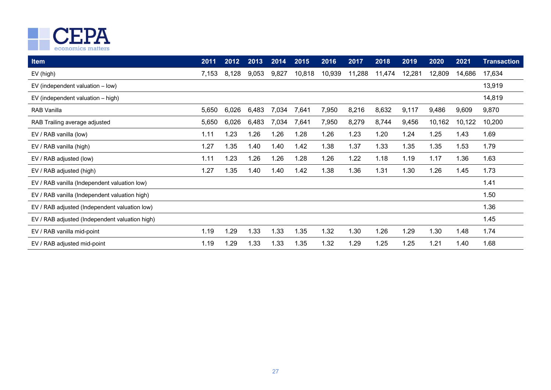

| Item                                           | 2011  | 2012  | 2013  | 2014  | 2015   | 2016   | 2017   | 2018   | 2019   | 2020   | 2021   | <b>Transaction</b> |
|------------------------------------------------|-------|-------|-------|-------|--------|--------|--------|--------|--------|--------|--------|--------------------|
| EV (high)                                      | 7,153 | 8,128 | 9,053 | 9,827 | 10,818 | 10,939 | 11,288 | 11,474 | 12,281 | 12,809 | 14,686 | 17,634             |
| EV (independent valuation $-$ low)             |       |       |       |       |        |        |        |        |        |        |        | 13,919             |
| $EV$ (independent valuation $-$ high)          |       |       |       |       |        |        |        |        |        |        |        | 14,819             |
| <b>RAB Vanilla</b>                             | 5,650 | 6,026 | 6,483 | 7,034 | 7,641  | 7,950  | 8,216  | 8,632  | 9,117  | 9,486  | 9,609  | 9,870              |
| RAB Trailing average adjusted                  | 5,650 | 6,026 | 6,483 | 7,034 | 7,641  | 7,950  | 8,279  | 8,744  | 9,456  | 10,162 | 10,122 | 10,200             |
| EV / RAB vanilla (low)                         | 1.11  | 1.23  | 1.26  | 1.26  | 1.28   | 1.26   | 1.23   | 1.20   | 1.24   | 1.25   | 1.43   | 1.69               |
| EV / RAB vanilla (high)                        | 1.27  | 1.35  | 1.40  | 1.40  | 1.42   | 1.38   | 1.37   | 1.33   | 1.35   | 1.35   | 1.53   | 1.79               |
| EV / RAB adjusted (low)                        | 1.11  | 1.23  | 1.26  | 1.26  | 1.28   | 1.26   | 1.22   | 1.18   | 1.19   | 1.17   | 1.36   | 1.63               |
| EV / RAB adjusted (high)                       | 1.27  | 1.35  | 1.40  | 1.40  | 1.42   | 1.38   | 1.36   | 1.31   | 1.30   | 1.26   | 1.45   | 1.73               |
| EV / RAB vanilla (Independent valuation low)   |       |       |       |       |        |        |        |        |        |        |        | 1.41               |
| EV / RAB vanilla (Independent valuation high)  |       |       |       |       |        |        |        |        |        |        |        | 1.50               |
| EV / RAB adjusted (Independent valuation low)  |       |       |       |       |        |        |        |        |        |        |        | 1.36               |
| EV / RAB adjusted (Independent valuation high) |       |       |       |       |        |        |        |        |        |        |        | 1.45               |
| EV / RAB vanilla mid-point                     | 1.19  | 1.29  | 1.33  | 1.33  | 1.35   | 1.32   | 1.30   | 1.26   | 1.29   | 1.30   | 1.48   | 1.74               |
| EV / RAB adjusted mid-point                    | 1.19  | 1.29  | 1.33  | 1.33  | .35    | 1.32   | 1.29   | 1.25   | 1.25   | 1.21   | 1.40   | 1.68               |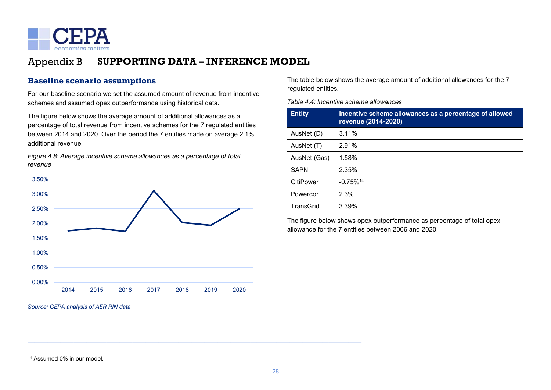

#### <span id="page-27-0"></span>Appendix B **SUPPORTING DATA – INFERENCE MODEL**

# **Baseline scenario assumptions**

For our baseline scenario we set the assumed amount of revenue from incentive schemes and assumed opex outperformance using historical data.

The figure below shows the average amount of additional allowances as a percentage of total revenue from incentive schemes for the 7 regulated entities between 2014 and 2020. Over the period the 7 entities made on average 2.1% additional revenue.

*Figure 4.8: Average incentive scheme allowances as a percentage of total revenue*



———————————————————————————————————————————————————

The table below shows the average amount of additional allowances for the 7 regulated entities.

*Table 4.4: Incentive scheme allowances* 

| <b>Entity</b> | Incentive scheme allowances as a percentage of allowed<br>revenue (2014-2020) |
|---------------|-------------------------------------------------------------------------------|
| AusNet (D)    | 3.11%                                                                         |
| AusNet (T)    | 2.91%                                                                         |
| AusNet (Gas)  | 1.58%                                                                         |
| <b>SAPN</b>   | 2.35%                                                                         |
| CitiPower     | $-0.75\%$ <sup>14</sup>                                                       |
| Powercor      | 2.3%                                                                          |
| TransGrid     | 3.39%                                                                         |

The figure below shows opex outperformance as percentage of total opex allowance for the 7 entities between 2006 and 2020.

<sup>14</sup> Assumed 0% in our model.

*Source: CEPA analysis of AER RIN data*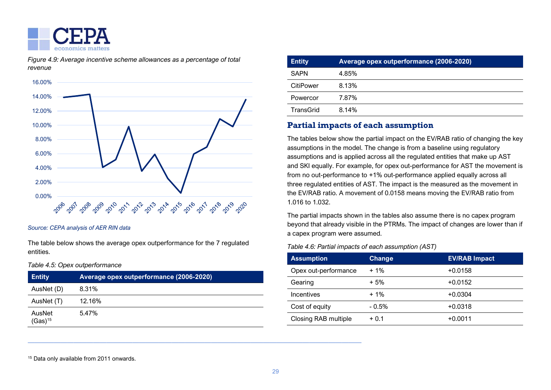

*Figure 4.9: Average incentive scheme allowances as a percentage of total revenue*



*Source: CEPA analysis of AER RIN data*

The table below shows the average opex outperformance for the 7 regulated entities.

### *Table 4.5: Opex outperformance*

| <b>Entity</b>                 | Average opex outperformance (2006-2020) |
|-------------------------------|-----------------------------------------|
| AusNet (D)                    | 8.31%                                   |
| AusNet (T)                    | 12.16%                                  |
| AusNet<br>(Gas) <sup>15</sup> | 5.47%                                   |

———————————————————————————————————————————————————

| <b>Entity</b> | Average opex outperformance (2006-2020) |
|---------------|-----------------------------------------|
| <b>SAPN</b>   | 4.85%                                   |
| CitiPower     | 8.13%                                   |
| Powercor      | 7.87%                                   |
| TransGrid     | 8.14%                                   |
|               |                                         |

### **Partial impacts of each assumption**

The tables below show the partial impact on the EV/RAB ratio of changing the key assumptions in the model. The change is from a baseline using regulatory assumptions and is applied across all the regulated entities that make up AST and SKI equally. For example, for opex out-performance for AST the movement is from no out-performance to +1% out-performance applied equally across all three regulated entities of AST. The impact is the measured as the movement in the EV/RAB ratio. A movement of 0.0158 means moving the EV/RAB ratio from 1.016 to 1.032.

The partial impacts shown in the tables also assume there is no capex program beyond that already visible in the PTRMs. The impact of changes are lower than if a capex program were assumed.

*Table 4.6: Partial impacts of each assumption (AST)*

| <b>Assumption</b>    | <b>Change</b> | <b>EV/RAB</b> Impact |
|----------------------|---------------|----------------------|
| Opex out-performance | $+1\%$        | $+0.0158$            |
| Gearing              | $+5%$         | $+0.0152$            |
| Incentives           | $+1%$         | $+0.0304$            |
| Cost of equity       | $-0.5%$       | $+0.0318$            |
| Closing RAB multiple | $+0.1$        | $+0.0011$            |

<sup>15</sup> Data only available from 2011 onwards.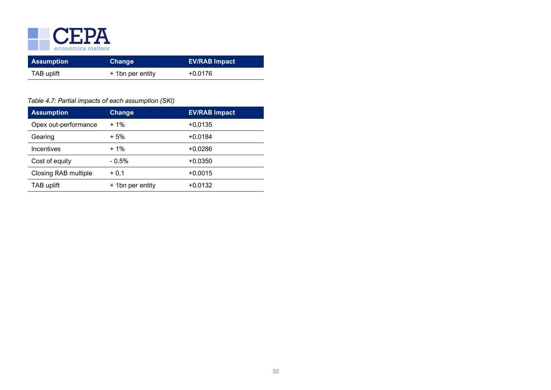

| <b>Assumption</b> | Change           | <b>EV/RAB Impact</b> |
|-------------------|------------------|----------------------|
| TAB uplift        | + 1bn per entity | $+0.0176$            |

### *Table 4.7: Partial impacts of each assumption (SKI)*

| <b>Assumption</b>    | <b>Change</b>    | <b>EV/RAB Impact</b> |
|----------------------|------------------|----------------------|
| Opex out-performance | $+1\%$           | $+0.0135$            |
| Gearing              | $+5%$            | $+0.0184$            |
| Incentives           | $+1\%$           | $+0.0286$            |
| Cost of equity       | $-0.5%$          | $+0.0350$            |
| Closing RAB multiple | $+0.1$           | $+0.0015$            |
| TAB uplift           | + 1bn per entity | $+0.0132$            |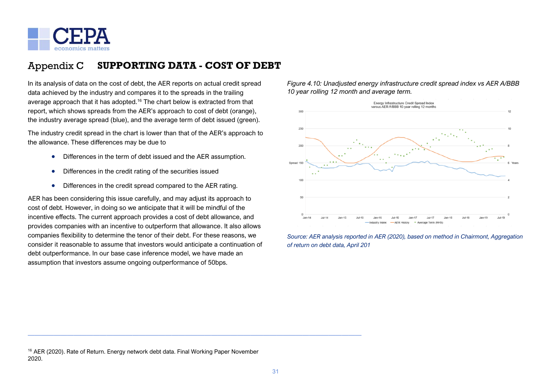

#### <span id="page-30-0"></span>Appendix C **SUPPORTING DATA - COST OF DEBT**

In its analysis of data on the cost of debt, the AER reports on actual credit spread data achieved by the industry and compares it to the spreads in the trailing average approach that it has adopted.<sup>16</sup> The chart below is extracted from that report, which shows spreads from the AER's approach to cost of debt (orange), the industry average spread (blue), and the average term of debt issued (green).

The industry credit spread in the chart is lower than that of the AER's approach to the allowance. These differences may be due to

- Differences in the term of debt issued and the AER assumption.
- Differences in the credit rating of the securities issued
- Differences in the credit spread compared to the AER rating.

AER has been considering this issue carefully, and may adjust its approach to cost of debt. However, in doing so we anticipate that it will be mindful of the incentive effects. The current approach provides a cost of debt allowance, and provides companies with an incentive to outperform that allowance. It also allows companies flexibility to determine the tenor of their debt. For these reasons, we consider it reasonable to assume that investors would anticipate a continuation of debt outperformance. In our base case inference model, we have made an assumption that investors assume ongoing outperformance of 50bps.

*Figure 4.10: Unadjusted energy infrastructure credit spread index vs AER A/BBB 10 year rolling 12 month and average term.*





<sup>16</sup> AER (2020). Rate of Return. Energy network debt data. Final Working Paper November 2020.

———————————————————————————————————————————————————